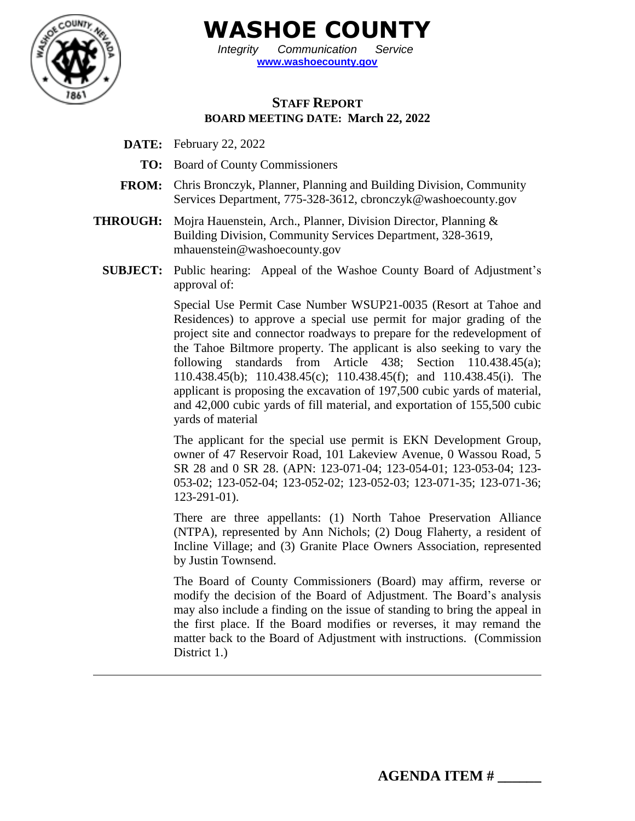

**WASHOE COUNTY**

*Integrity Communication Service* **[www.washoecounty.gov](http://www.washoecounty.gov/)**

# **STAFF REPORT BOARD MEETING DATE: March 22, 2022**

- **DATE:** February 22, 2022
	- **TO:** Board of County Commissioners
- **FROM:** Chris Bronczyk, Planner, Planning and Building Division, Community Services Department, 775-328-3612, cbronczyk@washoecounty.gov
- **THROUGH:** Mojra Hauenstein, Arch., Planner, Division Director, Planning & Building Division, Community Services Department, 328-3619, mhauenstein@washoecounty.gov
	- **SUBJECT:** Public hearing: Appeal of the Washoe County Board of Adjustment's approval of:

Special Use Permit Case Number WSUP21-0035 (Resort at Tahoe and Residences) to approve a special use permit for major grading of the project site and connector roadways to prepare for the redevelopment of the Tahoe Biltmore property. The applicant is also seeking to vary the following standards from Article 438; Section 110.438.45(a); 110.438.45(b); 110.438.45(c); 110.438.45(f); and 110.438.45(i). The applicant is proposing the excavation of 197,500 cubic yards of material, and 42,000 cubic yards of fill material, and exportation of 155,500 cubic yards of material

The applicant for the special use permit is EKN Development Group, owner of 47 Reservoir Road, 101 Lakeview Avenue, 0 Wassou Road, 5 SR 28 and 0 SR 28. (APN: 123-071-04; 123-054-01; 123-053-04; 123- 053-02; 123-052-04; 123-052-02; 123-052-03; 123-071-35; 123-071-36; 123-291-01).

There are three appellants: (1) North Tahoe Preservation Alliance (NTPA), represented by Ann Nichols; (2) Doug Flaherty, a resident of Incline Village; and (3) Granite Place Owners Association, represented by Justin Townsend.

The Board of County Commissioners (Board) may affirm, reverse or modify the decision of the Board of Adjustment. The Board's analysis may also include a finding on the issue of standing to bring the appeal in the first place. If the Board modifies or reverses, it may remand the matter back to the Board of Adjustment with instructions. (Commission District 1.)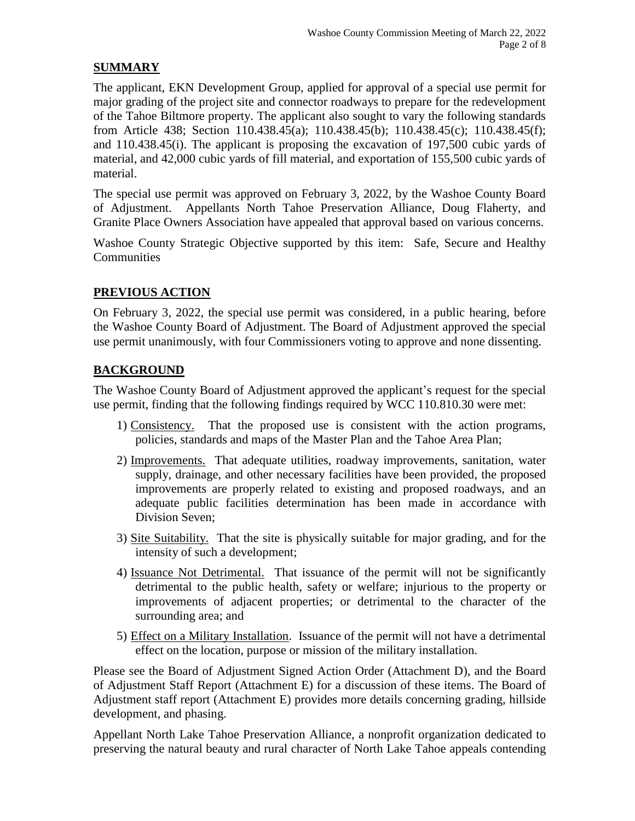### **SUMMARY**

The applicant, EKN Development Group, applied for approval of a special use permit for major grading of the project site and connector roadways to prepare for the redevelopment of the Tahoe Biltmore property. The applicant also sought to vary the following standards from Article 438; Section 110.438.45(a); 110.438.45(b); 110.438.45(c); 110.438.45(f); and 110.438.45(i). The applicant is proposing the excavation of 197,500 cubic yards of material, and 42,000 cubic yards of fill material, and exportation of 155,500 cubic yards of material.

The special use permit was approved on February 3, 2022, by the Washoe County Board of Adjustment. Appellants North Tahoe Preservation Alliance, Doug Flaherty, and Granite Place Owners Association have appealed that approval based on various concerns.

Washoe County Strategic Objective supported by this item: Safe, Secure and Healthy **Communities** 

## **PREVIOUS ACTION**

On February 3, 2022, the special use permit was considered, in a public hearing, before the Washoe County Board of Adjustment. The Board of Adjustment approved the special use permit unanimously, with four Commissioners voting to approve and none dissenting.

## **BACKGROUND**

The Washoe County Board of Adjustment approved the applicant's request for the special use permit, finding that the following findings required by WCC 110.810.30 were met:

- 1) Consistency. That the proposed use is consistent with the action programs, policies, standards and maps of the Master Plan and the Tahoe Area Plan;
- 2) Improvements. That adequate utilities, roadway improvements, sanitation, water supply, drainage, and other necessary facilities have been provided, the proposed improvements are properly related to existing and proposed roadways, and an adequate public facilities determination has been made in accordance with Division Seven;
- 3) Site Suitability. That the site is physically suitable for major grading, and for the intensity of such a development;
- 4) Issuance Not Detrimental. That issuance of the permit will not be significantly detrimental to the public health, safety or welfare; injurious to the property or improvements of adjacent properties; or detrimental to the character of the surrounding area; and
- 5) Effect on a Military Installation. Issuance of the permit will not have a detrimental effect on the location, purpose or mission of the military installation.

Please see the Board of Adjustment Signed Action Order (Attachment D), and the Board of Adjustment Staff Report (Attachment E) for a discussion of these items. The Board of Adjustment staff report (Attachment E) provides more details concerning grading, hillside development, and phasing.

Appellant North Lake Tahoe Preservation Alliance, a nonprofit organization dedicated to preserving the natural beauty and rural character of North Lake Tahoe appeals contending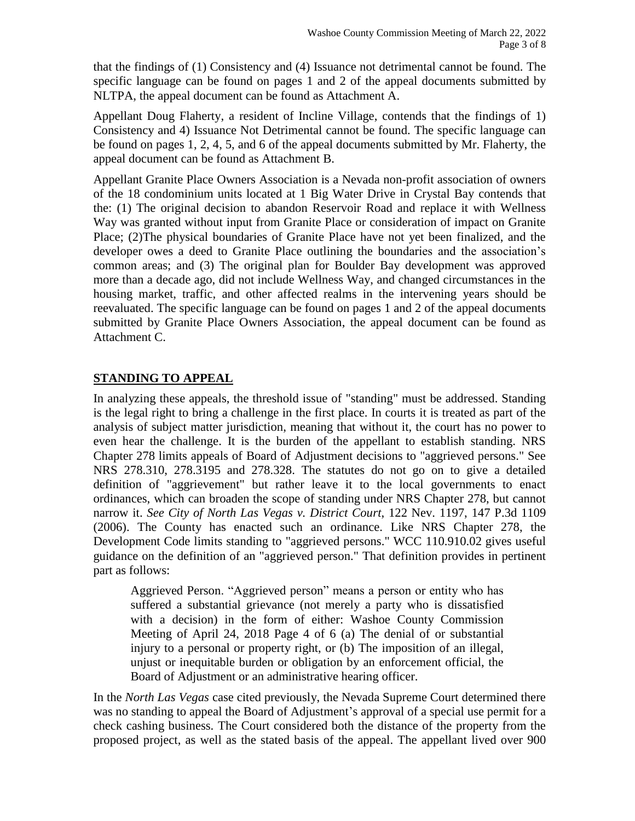that the findings of (1) Consistency and (4) Issuance not detrimental cannot be found. The specific language can be found on pages 1 and 2 of the appeal documents submitted by NLTPA, the appeal document can be found as Attachment A.

Appellant Doug Flaherty, a resident of Incline Village, contends that the findings of 1) Consistency and 4) Issuance Not Detrimental cannot be found. The specific language can be found on pages 1, 2, 4, 5, and 6 of the appeal documents submitted by Mr. Flaherty, the appeal document can be found as Attachment B.

Appellant Granite Place Owners Association is a Nevada non-profit association of owners of the 18 condominium units located at 1 Big Water Drive in Crystal Bay contends that the: (1) The original decision to abandon Reservoir Road and replace it with Wellness Way was granted without input from Granite Place or consideration of impact on Granite Place; (2)The physical boundaries of Granite Place have not yet been finalized, and the developer owes a deed to Granite Place outlining the boundaries and the association's common areas; and (3) The original plan for Boulder Bay development was approved more than a decade ago, did not include Wellness Way, and changed circumstances in the housing market, traffic, and other affected realms in the intervening years should be reevaluated. The specific language can be found on pages 1 and 2 of the appeal documents submitted by Granite Place Owners Association, the appeal document can be found as Attachment C.

## **STANDING TO APPEAL**

In analyzing these appeals, the threshold issue of "standing" must be addressed. Standing is the legal right to bring a challenge in the first place. In courts it is treated as part of the analysis of subject matter jurisdiction, meaning that without it, the court has no power to even hear the challenge. It is the burden of the appellant to establish standing. NRS Chapter 278 limits appeals of Board of Adjustment decisions to "aggrieved persons." See NRS 278.310, 278.3195 and 278.328. The statutes do not go on to give a detailed definition of "aggrievement" but rather leave it to the local governments to enact ordinances, which can broaden the scope of standing under NRS Chapter 278, but cannot narrow it. *See City of North Las Vegas v. District Court*, 122 Nev. 1197, 147 P.3d 1109 (2006). The County has enacted such an ordinance. Like NRS Chapter 278, the Development Code limits standing to "aggrieved persons." WCC 110.910.02 gives useful guidance on the definition of an "aggrieved person." That definition provides in pertinent part as follows:

Aggrieved Person. "Aggrieved person" means a person or entity who has suffered a substantial grievance (not merely a party who is dissatisfied with a decision) in the form of either: Washoe County Commission Meeting of April 24, 2018 Page 4 of 6 (a) The denial of or substantial injury to a personal or property right, or (b) The imposition of an illegal, unjust or inequitable burden or obligation by an enforcement official, the Board of Adjustment or an administrative hearing officer.

In the *North Las Vegas* case cited previously, the Nevada Supreme Court determined there was no standing to appeal the Board of Adjustment's approval of a special use permit for a check cashing business. The Court considered both the distance of the property from the proposed project, as well as the stated basis of the appeal. The appellant lived over 900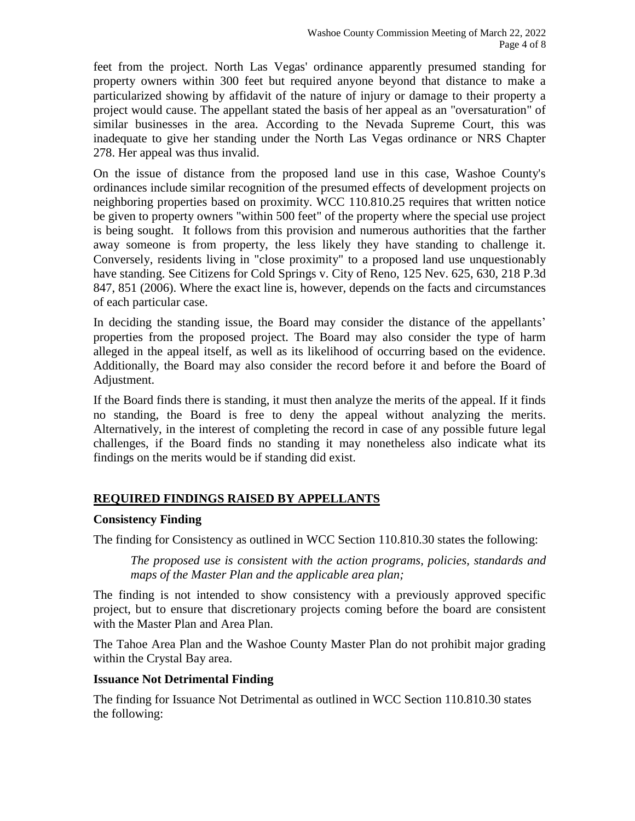feet from the project. North Las Vegas' ordinance apparently presumed standing for property owners within 300 feet but required anyone beyond that distance to make a particularized showing by affidavit of the nature of injury or damage to their property a project would cause. The appellant stated the basis of her appeal as an "oversaturation" of similar businesses in the area. According to the Nevada Supreme Court, this was inadequate to give her standing under the North Las Vegas ordinance or NRS Chapter 278. Her appeal was thus invalid.

On the issue of distance from the proposed land use in this case, Washoe County's ordinances include similar recognition of the presumed effects of development projects on neighboring properties based on proximity. WCC 110.810.25 requires that written notice be given to property owners "within 500 feet" of the property where the special use project is being sought. It follows from this provision and numerous authorities that the farther away someone is from property, the less likely they have standing to challenge it. Conversely, residents living in "close proximity" to a proposed land use unquestionably have standing. See Citizens for Cold Springs v. City of Reno, 125 Nev. 625, 630, 218 P.3d 847, 851 (2006). Where the exact line is, however, depends on the facts and circumstances of each particular case.

In deciding the standing issue, the Board may consider the distance of the appellants' properties from the proposed project. The Board may also consider the type of harm alleged in the appeal itself, as well as its likelihood of occurring based on the evidence. Additionally, the Board may also consider the record before it and before the Board of Adjustment.

If the Board finds there is standing, it must then analyze the merits of the appeal. If it finds no standing, the Board is free to deny the appeal without analyzing the merits. Alternatively, in the interest of completing the record in case of any possible future legal challenges, if the Board finds no standing it may nonetheless also indicate what its findings on the merits would be if standing did exist.

# **REQUIRED FINDINGS RAISED BY APPELLANTS**

### **Consistency Finding**

The finding for Consistency as outlined in WCC Section 110.810.30 states the following:

*The proposed use is consistent with the action programs, policies, standards and maps of the Master Plan and the applicable area plan;*

The finding is not intended to show consistency with a previously approved specific project, but to ensure that discretionary projects coming before the board are consistent with the Master Plan and Area Plan.

The Tahoe Area Plan and the Washoe County Master Plan do not prohibit major grading within the Crystal Bay area.

#### **Issuance Not Detrimental Finding**

The finding for Issuance Not Detrimental as outlined in WCC Section 110.810.30 states the following: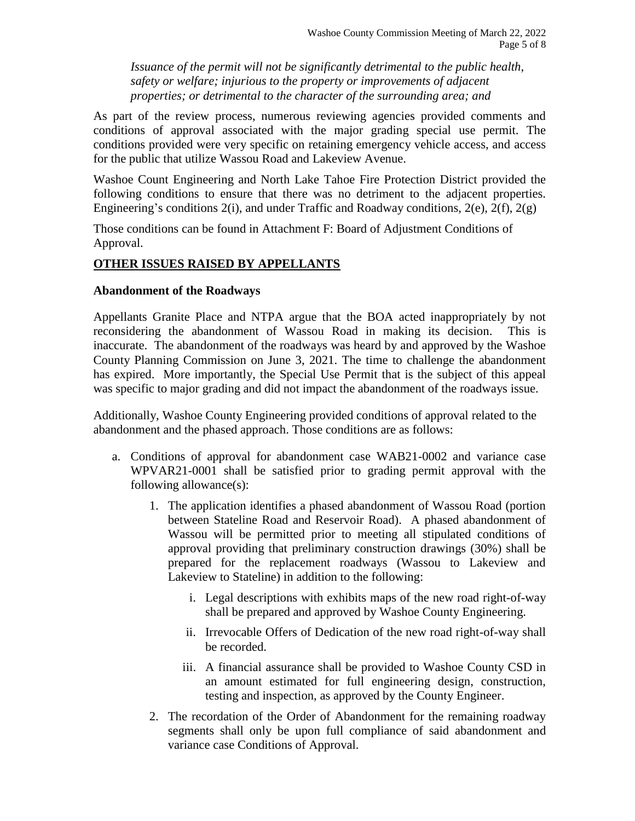*Issuance of the permit will not be significantly detrimental to the public health, safety or welfare; injurious to the property or improvements of adjacent properties; or detrimental to the character of the surrounding area; and*

As part of the review process, numerous reviewing agencies provided comments and conditions of approval associated with the major grading special use permit. The conditions provided were very specific on retaining emergency vehicle access, and access for the public that utilize Wassou Road and Lakeview Avenue.

Washoe Count Engineering and North Lake Tahoe Fire Protection District provided the following conditions to ensure that there was no detriment to the adjacent properties. Engineering's conditions  $2(i)$ , and under Traffic and Roadway conditions,  $2(e)$ ,  $2(f)$ ,  $2(g)$ 

Those conditions can be found in Attachment F: Board of Adjustment Conditions of Approval.

### **OTHER ISSUES RAISED BY APPELLANTS**

#### **Abandonment of the Roadways**

Appellants Granite Place and NTPA argue that the BOA acted inappropriately by not reconsidering the abandonment of Wassou Road in making its decision. This is inaccurate. The abandonment of the roadways was heard by and approved by the Washoe County Planning Commission on June 3, 2021. The time to challenge the abandonment has expired. More importantly, the Special Use Permit that is the subject of this appeal was specific to major grading and did not impact the abandonment of the roadways issue.

Additionally, Washoe County Engineering provided conditions of approval related to the abandonment and the phased approach. Those conditions are as follows:

- a. Conditions of approval for abandonment case WAB21-0002 and variance case WPVAR21-0001 shall be satisfied prior to grading permit approval with the following allowance(s):
	- 1. The application identifies a phased abandonment of Wassou Road (portion between Stateline Road and Reservoir Road). A phased abandonment of Wassou will be permitted prior to meeting all stipulated conditions of approval providing that preliminary construction drawings (30%) shall be prepared for the replacement roadways (Wassou to Lakeview and Lakeview to Stateline) in addition to the following:
		- i. Legal descriptions with exhibits maps of the new road right-of-way shall be prepared and approved by Washoe County Engineering.
		- ii. Irrevocable Offers of Dedication of the new road right-of-way shall be recorded.
		- iii. A financial assurance shall be provided to Washoe County CSD in an amount estimated for full engineering design, construction, testing and inspection, as approved by the County Engineer.
	- 2. The recordation of the Order of Abandonment for the remaining roadway segments shall only be upon full compliance of said abandonment and variance case Conditions of Approval.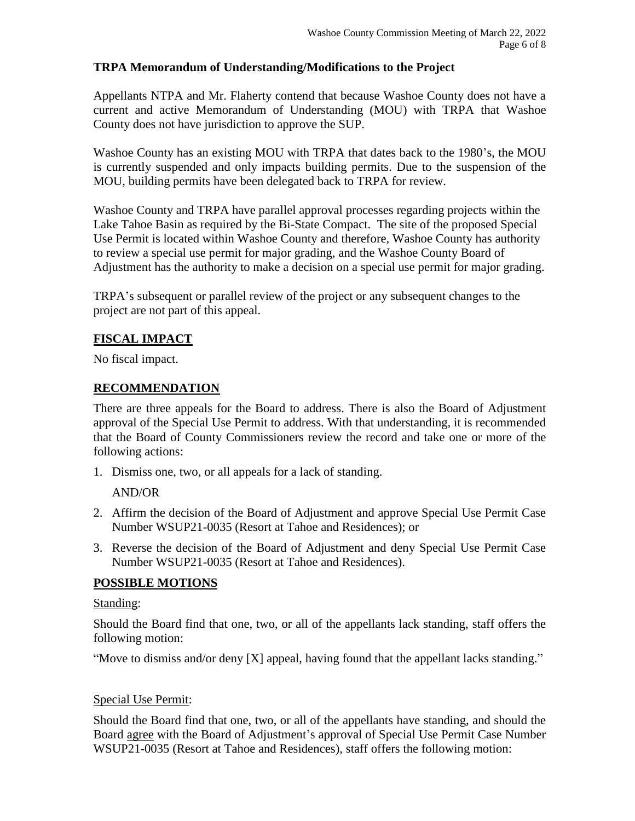### **TRPA Memorandum of Understanding/Modifications to the Project**

Appellants NTPA and Mr. Flaherty contend that because Washoe County does not have a current and active Memorandum of Understanding (MOU) with TRPA that Washoe County does not have jurisdiction to approve the SUP.

Washoe County has an existing MOU with TRPA that dates back to the 1980's, the MOU is currently suspended and only impacts building permits. Due to the suspension of the MOU, building permits have been delegated back to TRPA for review.

Washoe County and TRPA have parallel approval processes regarding projects within the Lake Tahoe Basin as required by the Bi-State Compact. The site of the proposed Special Use Permit is located within Washoe County and therefore, Washoe County has authority to review a special use permit for major grading, and the Washoe County Board of Adjustment has the authority to make a decision on a special use permit for major grading.

TRPA's subsequent or parallel review of the project or any subsequent changes to the project are not part of this appeal.

## **FISCAL IMPACT**

No fiscal impact.

### **RECOMMENDATION**

There are three appeals for the Board to address. There is also the Board of Adjustment approval of the Special Use Permit to address. With that understanding, it is recommended that the Board of County Commissioners review the record and take one or more of the following actions:

1. Dismiss one, two, or all appeals for a lack of standing.

AND/OR

- 2. Affirm the decision of the Board of Adjustment and approve Special Use Permit Case Number WSUP21-0035 (Resort at Tahoe and Residences); or
- 3. Reverse the decision of the Board of Adjustment and deny Special Use Permit Case Number WSUP21-0035 (Resort at Tahoe and Residences).

### **POSSIBLE MOTIONS**

#### Standing:

Should the Board find that one, two, or all of the appellants lack standing, staff offers the following motion:

"Move to dismiss and/or deny [X] appeal, having found that the appellant lacks standing."

#### Special Use Permit:

Should the Board find that one, two, or all of the appellants have standing, and should the Board agree with the Board of Adjustment's approval of Special Use Permit Case Number WSUP21-0035 (Resort at Tahoe and Residences), staff offers the following motion: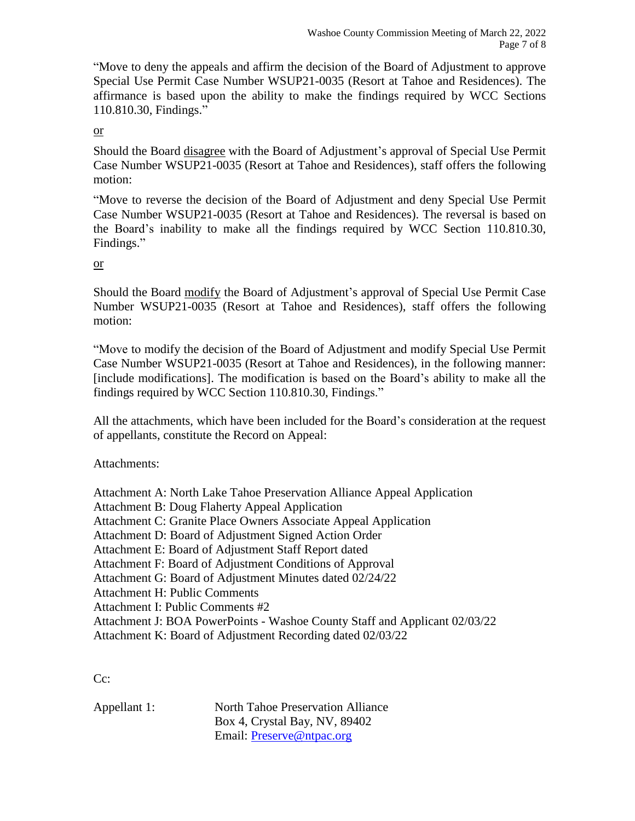"Move to deny the appeals and affirm the decision of the Board of Adjustment to approve Special Use Permit Case Number WSUP21-0035 (Resort at Tahoe and Residences). The affirmance is based upon the ability to make the findings required by WCC Sections 110.810.30, Findings."

or

Should the Board disagree with the Board of Adjustment's approval of Special Use Permit Case Number WSUP21-0035 (Resort at Tahoe and Residences), staff offers the following motion:

"Move to reverse the decision of the Board of Adjustment and deny Special Use Permit Case Number WSUP21-0035 (Resort at Tahoe and Residences). The reversal is based on the Board's inability to make all the findings required by WCC Section 110.810.30, Findings."

or

Should the Board modify the Board of Adjustment's approval of Special Use Permit Case Number WSUP21-0035 (Resort at Tahoe and Residences), staff offers the following motion:

"Move to modify the decision of the Board of Adjustment and modify Special Use Permit Case Number WSUP21-0035 (Resort at Tahoe and Residences), in the following manner: [include modifications]. The modification is based on the Board's ability to make all the findings required by WCC Section 110.810.30, Findings."

All the attachments, which have been included for the Board's consideration at the request of appellants, constitute the Record on Appeal:

Attachments:

Attachment A: North Lake Tahoe Preservation Alliance Appeal Application Attachment B: Doug Flaherty Appeal Application Attachment C: Granite Place Owners Associate Appeal Application Attachment D: Board of Adjustment Signed Action Order Attachment E: Board of Adjustment Staff Report dated Attachment F: Board of Adjustment Conditions of Approval Attachment G: Board of Adjustment Minutes dated 02/24/22 Attachment H: Public Comments Attachment I: Public Comments #2 Attachment J: BOA PowerPoints - Washoe County Staff and Applicant 02/03/22 Attachment K: Board of Adjustment Recording dated 02/03/22

C<sub>c</sub>:

| Appellant 1: | North Tahoe Preservation Alliance |
|--------------|-----------------------------------|
|              | Box 4, Crystal Bay, NV, 89402     |
|              | Email: <b>Preserve@ntpac.org</b>  |